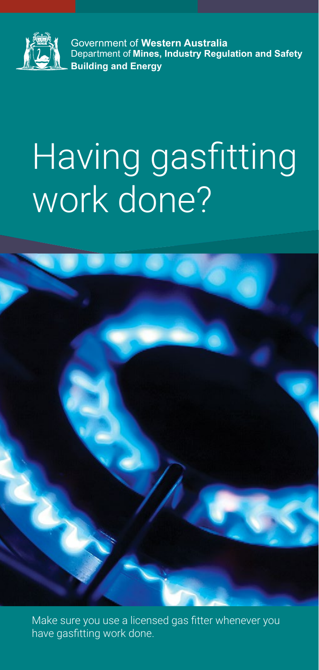

Government of **Western Australia** Department of **Mines, Industry Regulation and Safety Building and Energy**

# Having gasfitting work done?



Make sure you use a licensed gas fitter whenever you have gasfitting work done.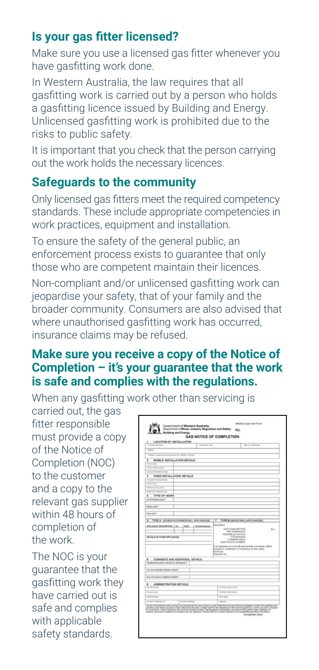# **Is your gas fitter licensed?**

Make sure you use a licensed gas fitter whenever you have gasfitting work done.

In Western Australia, the law requires that all gasfitting work is carried out by a person who holds a gasfitting licence issued by Building and Energy. Unlicensed gasfitting work is prohibited due to the risks to public safety.

It is important that you check that the person carrying out the work holds the necessary licences.

## **Safeguards to the community**

Only licensed gas fitters meet the required competency standards. These include appropriate competencies in work practices, equipment and installation.

To ensure the safety of the general public, an enforcement process exists to guarantee that only those who are competent maintain their licences.

Non-compliant and/or unlicensed gasfitting work can jeopardise your safety, that of your family and the broader community. Consumers are also advised that where unauthorised gasfitting work has occurred, insurance claims may be refused.

### **Make sure you receive a copy of the Notice of Completion – it's your guarantee that the work is safe and complies with the regulations.**

When any gasfitting work other than servicing is

carried out, the gas fitter responsible must provide a copy of the Notice of Completion (NOC) to the customer and a copy to the relevant gas supplier within 48 hours of completion of the work.

The NOC is your guarantee that the gasfitting work they have carried out is safe and complies with applicable safety standards.

| Executive par hand                                                              | <b>Scheduled Street</b> |                                                                                                                                                                                                                  | later by the electronic |
|---------------------------------------------------------------------------------|-------------------------|------------------------------------------------------------------------------------------------------------------------------------------------------------------------------------------------------------------|-------------------------|
|                                                                                 |                         |                                                                                                                                                                                                                  |                         |
| mene                                                                            |                         |                                                                                                                                                                                                                  |                         |
| Dealers - Jose presis (separate at at 4) to have obtately                       |                         |                                                                                                                                                                                                                  |                         |
| MOBILE INSTALLATION DETAILS<br>z                                                |                         |                                                                                                                                                                                                                  |                         |
| Total or loan                                                                   |                         |                                                                                                                                                                                                                  |                         |
| there are seattle and size.                                                     |                         |                                                                                                                                                                                                                  |                         |
| Louisia con effects the first                                                   |                         |                                                                                                                                                                                                                  |                         |
| FIXED INSTALLATION DETAILS<br>٠                                                 |                         |                                                                                                                                                                                                                  |                         |
| TO GAME OF GALLERY AVE                                                          |                         |                                                                                                                                                                                                                  |                         |
| THE OF CALL                                                                     |                         |                                                                                                                                                                                                                  |                         |
| THE OF WHILE OF CA.<br>One has have been as a below                             |                         |                                                                                                                                                                                                                  |                         |
| ۰                                                                               |                         |                                                                                                                                                                                                                  |                         |
| TYPE OF WORK                                                                    |                         |                                                                                                                                                                                                                  |                         |
| Commerced august 1                                                              |                         |                                                                                                                                                                                                                  |                         |
| <b>Renes south?</b>                                                             |                         |                                                                                                                                                                                                                  |                         |
|                                                                                 |                         |                                                                                                                                                                                                                  |                         |
| Poe work?                                                                       |                         |                                                                                                                                                                                                                  |                         |
|                                                                                 |                         | COMMISSIONED<br>CERTIFICATE NUMBER<br>If an appliance is to be left permanently connected, wheth-<br>Inspector's Cartificate of Compliance to this notice.<br><b>National Day</b><br><b><i>Inspector No.</i></b> |                         |
|                                                                                 |                         |                                                                                                                                                                                                                  |                         |
| COMMENTS AND ADDITIONAL DETAILS<br>Variation/Exemption required for owtrhostom? |                         |                                                                                                                                                                                                                  |                         |
|                                                                                 |                         |                                                                                                                                                                                                                  |                         |
| Any non-complant details to squart!                                             |                         |                                                                                                                                                                                                                  |                         |
|                                                                                 |                         |                                                                                                                                                                                                                  |                         |
| Any continents or additional datable?                                           |                         |                                                                                                                                                                                                                  |                         |
| 9 ADMINISTRATION DETAILS                                                        |                         |                                                                                                                                                                                                                  |                         |
| <b><i>Readers Form</i></b>                                                      |                         | Sat Financi Museum Institute                                                                                                                                                                                     |                         |
| Contact State                                                                   |                         | Tot File 1 Drive Astrono                                                                                                                                                                                         |                         |
| <b>Business Antique</b>                                                         |                         | Total Letters                                                                                                                                                                                                    |                         |
|                                                                                 |                         |                                                                                                                                                                                                                  |                         |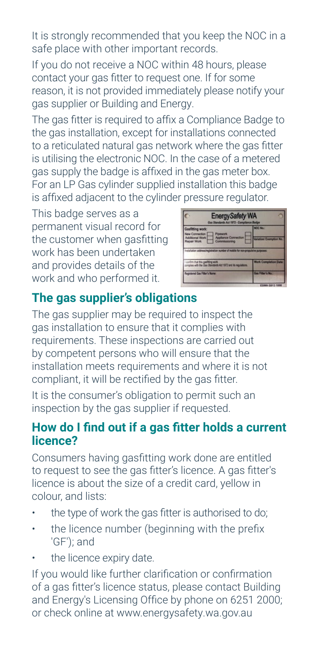It is strongly recommended that you keep the NOC in a safe place with other important records.

If you do not receive a NOC within 48 hours, please contact your gas fitter to request one. If for some reason, it is not provided immediately please notify your gas supplier or Building and Energy.

The gas fitter is required to affix a Compliance Badge to the gas installation, except for installations connected to a reticulated natural gas network where the gas fitter is utilising the electronic NOC. In the case of a metered gas supply the badge is affixed in the gas meter box. For an LP Gas cylinder supplied installation this badge is affixed adjacent to the cylinder pressure regulator.

This badge serves as a permanent visual record for the customer when gasfitting work has been undertaken and provides details of the work and who performed it.



# **The gas supplier's obligations**

The gas supplier may be required to inspect the gas installation to ensure that it complies with requirements. These inspections are carried out by competent persons who will ensure that the installation meets requirements and where it is not compliant, it will be rectified by the gas fitter.

It is the consumer's obligation to permit such an inspection by the gas supplier if requested.

## **How do I find out if a gas fitter holds a current licence?**

Consumers having gasfitting work done are entitled to request to see the gas fitter's licence. A gas fitter's licence is about the size of a credit card, yellow in colour, and lists:

- the type of work the gas fitter is authorised to do;
- the licence number (beginning with the prefix 'GF'); and
- the licence expiry date.

If you would like further clarification or confirmation of a gas fitter's licence status, please contact Building and Energy's Licensing Office by phone on 6251 2000; or check online at www.energysafety.wa.gov.au